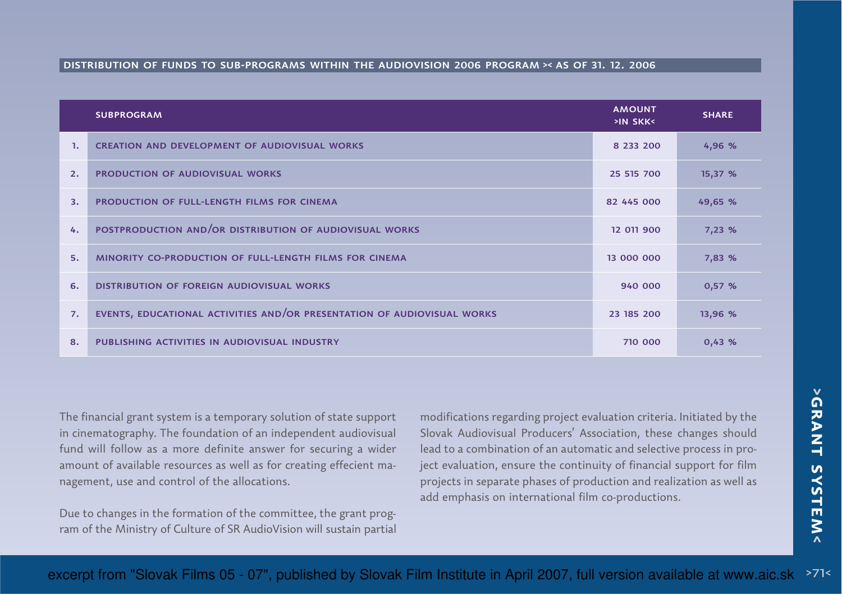## distribution of funds to sub-programs within the audiovision 2006 program >< as of 31. 12. 2006

|              | <b>SUBPROGRAM</b>                                                       | <b>AMOUNT</b><br>>IN SKK< | <b>SHARE</b> |
|--------------|-------------------------------------------------------------------------|---------------------------|--------------|
| $\mathbf{1}$ | <b>CREATION AND DEVELOPMENT OF AUDIOVISUAL WORKS</b>                    | 8 233 200                 | 4,96%        |
| 2.           | <b>PRODUCTION OF AUDIOVISUAL WORKS</b>                                  | 25 515 700                | 15,37%       |
| 3.           | <b>PRODUCTION OF FULL-LENGTH FILMS FOR CINEMA</b>                       | 82 445 000                | 49,65 %      |
| 4.           | POSTPRODUCTION AND/OR DISTRIBUTION OF AUDIOVISUAL WORKS                 | 12 011 900                | 7,23%        |
| 5.           | <b>MINORITY CO-PRODUCTION OF FULL-LENGTH FILMS FOR CINEMA</b>           | 13 000 000                | 7,83 %       |
| 6.           | <b>DISTRIBUTION OF FOREIGN AUDIOVISUAL WORKS</b>                        | 940 000                   | 0,57%        |
| 7.           | EVENTS, EDUCATIONAL ACTIVITIES AND/OR PRESENTATION OF AUDIOVISUAL WORKS | 23 185 200                | 13,96 %      |
| 8.           | PUBLISHING ACTIVITIES IN AUDIOVISUAL INDUSTRY                           | 710 000                   | 0,43%        |

The financial grant system is a temporary solution of state supportin cinematography. The foundation of an independent audiovisualfund will follow as a more definite answer for securing a wideramount of available resources as well as for creating effecient management, use and control of the allocations.

Due to changes in the formation of the committee, the grant program of the Ministry of Culture of SR AudioVision will sustain partial

modifications regarding project evaluation criteria. Initiated by the Slovak Audiovisual Producers' Association, these changes should lead to a combination of an automatic and selective process in project evaluation, ensure the continuity of financial support for film projects in separate phases of production and realization as well asadd emphasis on international film co-productions.